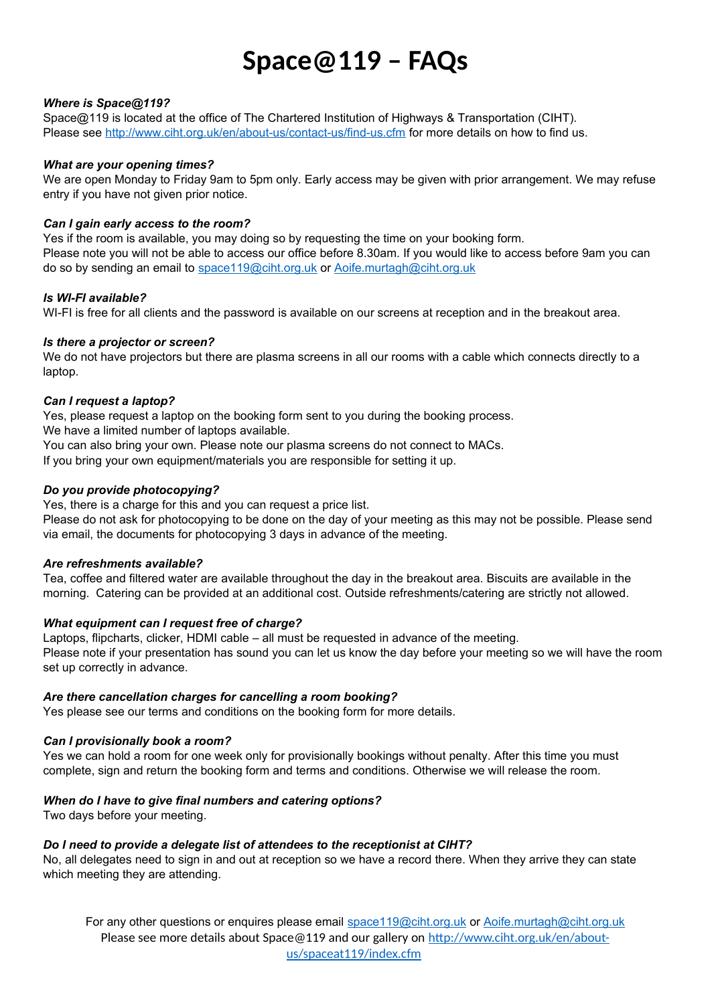# **Space@119 – FAQs**

# *Where is Space@119?*

Space@119 is located at the office of The Chartered Institution of Highways & Transportation (CIHT). Please see<http://www.ciht.org.uk/en/about-us/contact-us/find-us.cfm>for more details on how to find us.

#### *What are your opening times?*

We are open Monday to Friday 9am to 5pm only. Early access may be given with prior arrangement. We may refuse entry if you have not given prior notice.

# *Can I gain early access to the room?*

Yes if the room is available, you may doing so by requesting the time on your booking form. Please note you will not be able to access our office before 8.30am. If you would like to access before 9am you can do so by sending an email to [space119@ciht.org.uk](mailto:space119@ciht.org.uk) or [Aoife.murtagh@ciht.org.uk](mailto:Aoife.murtagh@ciht.org.uk)

# *Is WI-FI available?*

WI-FI is free for all clients and the password is available on our screens at reception and in the breakout area.

# *Is there a projector or screen?*

We do not have projectors but there are plasma screens in all our rooms with a cable which connects directly to a laptop.

# *Can I request a laptop?*

Yes, please request a laptop on the booking form sent to you during the booking process.

We have a limited number of laptops available.

You can also bring your own. Please note our plasma screens do not connect to MACs.

If you bring your own equipment/materials you are responsible for setting it up.

# *Do you provide photocopying?*

Yes, there is a charge for this and you can request a price list.

Please do not ask for photocopying to be done on the day of your meeting as this may not be possible. Please send via email, the documents for photocopying 3 days in advance of the meeting.

# *Are refreshments available?*

Tea, coffee and filtered water are available throughout the day in the breakout area. Biscuits are available in the morning. Catering can be provided at an additional cost. Outside refreshments/catering are strictly not allowed.

# *What equipment can I request free of charge?*

Laptops, flipcharts, clicker, HDMI cable – all must be requested in advance of the meeting. Please note if your presentation has sound you can let us know the day before your meeting so we will have the room set up correctly in advance.

# *Are there cancellation charges for cancelling a room booking?*

Yes please see our terms and conditions on the booking form for more details.

# *Can I provisionally book a room?*

Yes we can hold a room for one week only for provisionally bookings without penalty. After this time you must complete, sign and return the booking form and terms and conditions. Otherwise we will release the room.

# *When do I have to give final numbers and catering options?*

Two days before your meeting.

# *Do I need to provide a delegate list of attendees to the receptionist at CIHT?*

No, all delegates need to sign in and out at reception so we have a record there. When they arrive they can state which meeting they are attending.

For any other questions or enquires please email [space119@ciht.org.uk](mailto:space119@ciht.org.uk) or [Aoife.murtagh@ciht.org.uk](mailto:Aoife.murtagh@ciht.org.uk) Please see more details about Space@119 and our gallery on [http://www.ciht.org.uk/en/about](http://www.ciht.org.uk/en/about-us/spaceat119/index.cfm)[us/spaceat119/index.cfm](http://www.ciht.org.uk/en/about-us/spaceat119/index.cfm)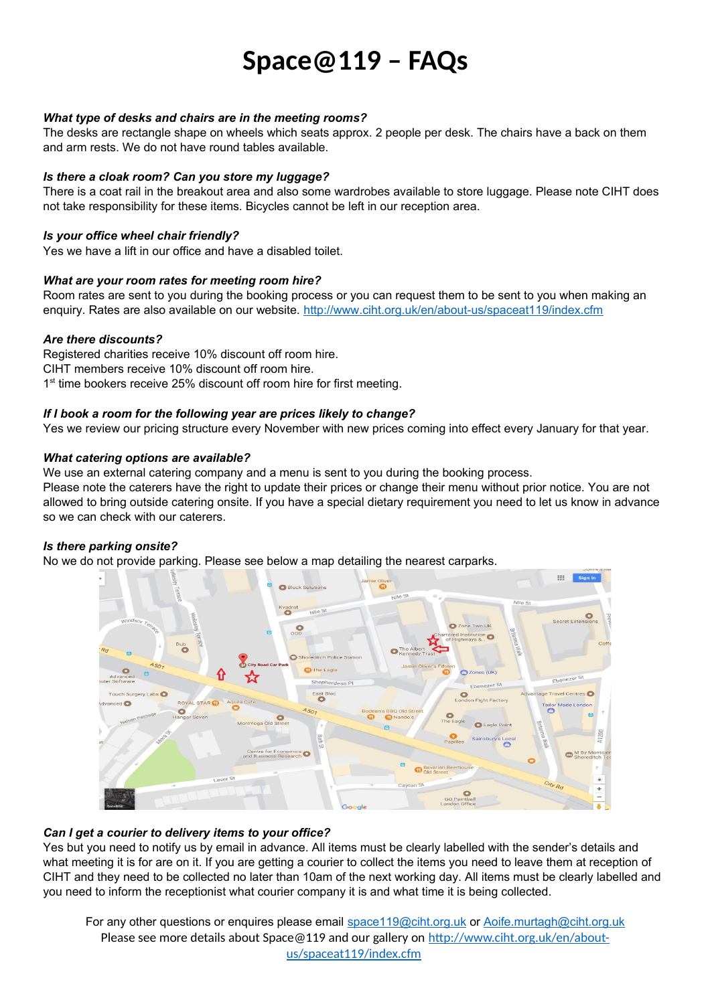# **Space@119 – FAQs**

# *What type of desks and chairs are in the meeting rooms?*

The desks are rectangle shape on wheels which seats approx. 2 people per desk. The chairs have a back on them and arm rests. We do not have round tables available.

#### *Is there a cloak room? Can you store my luggage?*

There is a coat rail in the breakout area and also some wardrobes available to store luggage. Please note CIHT does not take responsibility for these items. Bicycles cannot be left in our reception area.

#### *Is your office wheel chair friendly?*

Yes we have a lift in our office and have a disabled toilet.

#### *What are your room rates for meeting room hire?*

Room rates are sent to you during the booking process or you can request them to be sent to you when making an enquiry. Rates are also available on our website.<http://www.ciht.org.uk/en/about-us/spaceat119/index.cfm>

#### *Are there discounts?*

Registered charities receive 10% discount off room hire. CIHT members receive 10% discount off room hire. 1<sup>st</sup> time bookers receive 25% discount off room hire for first meeting.

#### *If I book a room for the following year are prices likely to change?*

Yes we review our pricing structure every November with new prices coming into effect every January for that year.

#### *What catering options are available?*

We use an external catering company and a menu is sent to you during the booking process.

Please note the caterers have the right to update their prices or change their menu without prior notice. You are not allowed to bring outside catering onsite. If you have a special dietary requirement you need to let us know in advance so we can check with our caterers.

# *Is there parking onsite?*

No we do not provide parking. Please see below a map detailing the nearest carparks.



# *Can I get a courier to delivery items to your office?*

Yes but you need to notify us by email in advance. All items must be clearly labelled with the sender's details and what meeting it is for are on it. If you are getting a courier to collect the items you need to leave them at reception of CIHT and they need to be collected no later than 10am of the next working day. All items must be clearly labelled and you need to inform the receptionist what courier company it is and what time it is being collected.

For any other questions or enquires please email [space119@ciht.org.uk](mailto:space119@ciht.org.uk) or [Aoife.murtagh@ciht.org.uk](mailto:Aoife.murtagh@ciht.org.uk) Please see more details about Space@119 and our gallery on [http://www.ciht.org.uk/en/about](http://www.ciht.org.uk/en/about-us/spaceat119/index.cfm)[us/spaceat119/index.cfm](http://www.ciht.org.uk/en/about-us/spaceat119/index.cfm)